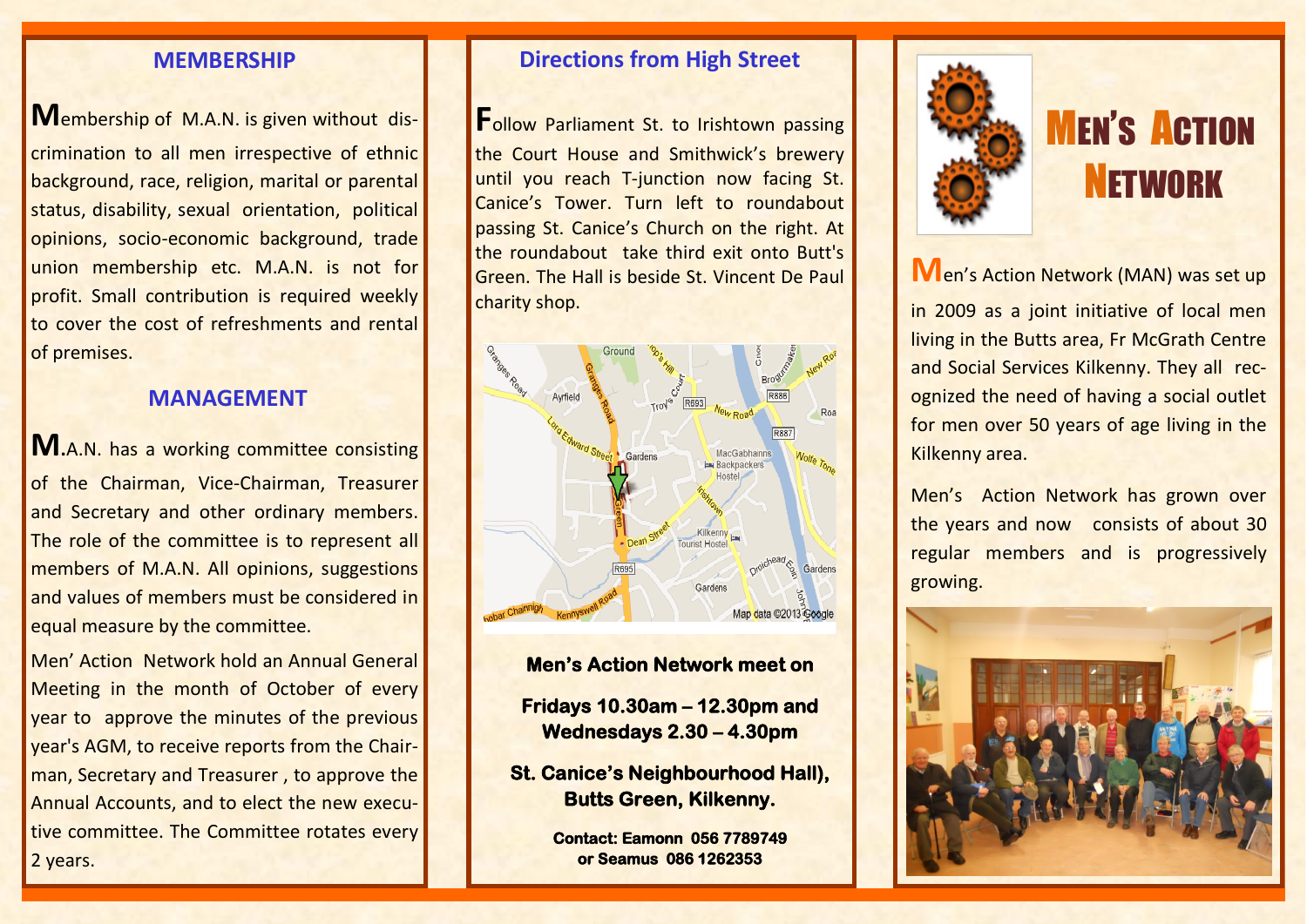## **MEMBERSHIP**

**M**embership of M.A.N. is given without discrimination to all men irrespective of ethnic background, race, religion, marital or parental status, disability, sexual orientation, political opinions, socio-economic background, trade union membership etc. M.A.N. is not for profit. Small contribution is required weekly to cover the cost of refreshments and rental of premises.

## **MANAGEMENT**

**M.**A.N. has a working committee consisting of the Chairman, Vice-Chairman, Treasurer and Secretary and other ordinary members. The role of the committee is to represent all members of M.A.N. All opinions, suggestions and values of members must be considered in equal measure by the committee.

Men' Action Network hold an Annual General Meeting in the month of October of every year to approve the minutes of the previous year's AGM, to receive reports from the Chairman, Secretary and Treasurer , to approve the Annual Accounts, and to elect the new executive committee. The Committee rotates every 2 years.

# **Directions from High Street**

**Follow Parliament St. to Irishtown passing** the Court House and Smithwick's brewery until you reach T-junction now facing St. Canice's Tower. Turn left to roundabout passing St. Canice's Church on the right. At the roundabout take third exit onto Butt's Green. The Hall is beside St. Vincent De Paul charity shop.



**Men's Action Network meet on Fridays 10.30am – 12.30pm and Wednesdays 2.30 – 4.30pm** 

**St. Canice's Neighbourhood Hall), Butts Green, Kilkenny.** 

> **Contact: Eamonn 056 7789749 or Seamus 086 1262353**



# **MEN'S ACTION NETWORK**

**M**en's Action Network (MAN) was set up

in 2009 as a joint initiative of local men living in the Butts area, Fr McGrath Centre and Social Services Kilkenny. They all recognized the need of having a social outlet for men over 50 years of age living in the Kilkenny area.

Men's Action Network has grown over the years and now consists of about 30 regular members and is progressively growing.